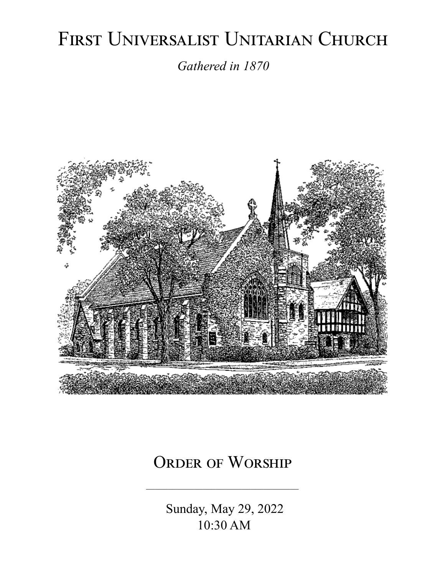# FIRST UNIVERSALIST UNITARIAN CHURCH

*Gathered in 1870*



# ORDER OF WORSHIP

 Sunday, May 29, 2022 10:30 AM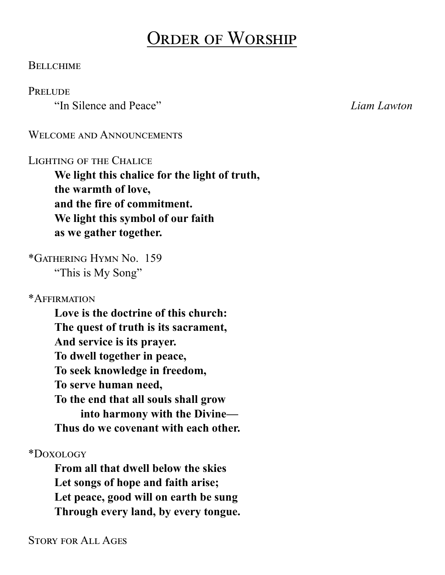# Order of Worship

#### **BELLCHIME**

#### **PRELUDE**

"In Silence and Peace" *Liam Lawton*

#### WELCOME AND ANNOUNCEMENTS

#### Lighting of the Chalice

**We light this chalice for the light of truth, the warmth of love, and the fire of commitment. We light this symbol of our faith as we gather together.**

\*Gathering Hymn No. 159 "This is My Song"

\*Affirmation

**Love is the doctrine of this church: The quest of truth is its sacrament, And service is its prayer. To dwell together in peace, To seek knowledge in freedom, To serve human need, To the end that all souls shall grow into harmony with the Divine— Thus do we covenant with each other.**

\*Doxology

**From all that dwell below the skies Let songs of hope and faith arise; Let peace, good will on earth be sung Through every land, by every tongue.**

Story for All Ages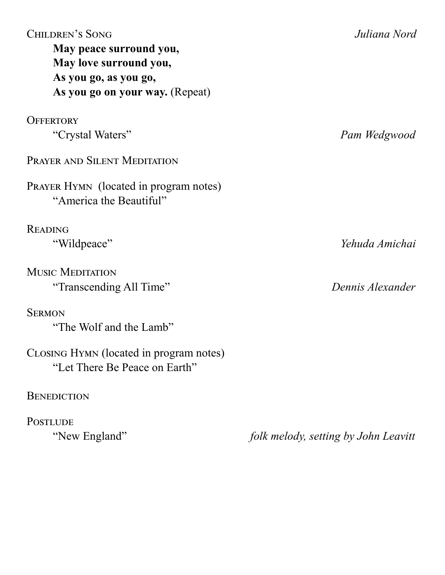| <b>CHILDREN'S SONG</b><br>May peace surround you,<br>May love surround you,<br>As you go, as you go,<br>As you go on your way. (Repeat) | Juliana Nord                         |
|-----------------------------------------------------------------------------------------------------------------------------------------|--------------------------------------|
| <b>OFFERTORY</b>                                                                                                                        |                                      |
| "Crystal Waters"                                                                                                                        | Pam Wedgwood                         |
| PRAYER AND SILENT MEDITATION                                                                                                            |                                      |
| PRAYER HYMN (located in program notes)<br>"America the Beautiful"                                                                       |                                      |
| <b>READING</b>                                                                                                                          |                                      |
| "Wildpeace"                                                                                                                             | Yehuda Amichai                       |
| <b>MUSIC MEDITATION</b><br>"Transcending All Time"                                                                                      | Dennis Alexander                     |
| <b>SERMON</b><br>"The Wolf and the Lamb"                                                                                                |                                      |
| CLOSING HYMN (located in program notes)<br>"Let There Be Peace on Earth"                                                                |                                      |
| <b>BENEDICTION</b>                                                                                                                      |                                      |
| <b>POSTLUDE</b>                                                                                                                         |                                      |
| "New England"                                                                                                                           | folk melody, setting by John Leavitt |